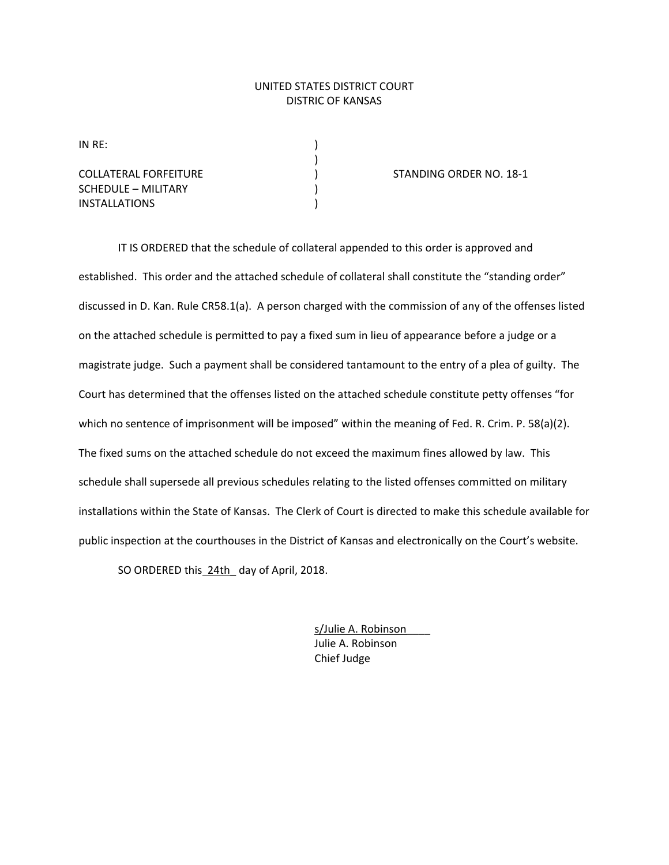## UNITED STATES DISTRICT COURT DISTRIC OF KANSAS

 $IN RE:$ 

SCHEDULE – MILITARY (1999) INSTALLATIONS )

)

COLLATERAL FORFEITURE ) STANDING ORDER NO. 18‐1

IT IS ORDERED that the schedule of collateral appended to this order is approved and established. This order and the attached schedule of collateral shall constitute the "standing order" discussed in D. Kan. Rule CR58.1(a). A person charged with the commission of any of the offenses listed on the attached schedule is permitted to pay a fixed sum in lieu of appearance before a judge or a magistrate judge. Such a payment shall be considered tantamount to the entry of a plea of guilty. The Court has determined that the offenses listed on the attached schedule constitute petty offenses "for which no sentence of imprisonment will be imposed" within the meaning of Fed. R. Crim. P. 58(a)(2). The fixed sums on the attached schedule do not exceed the maximum fines allowed by law. This schedule shall supersede all previous schedules relating to the listed offenses committed on military installations within the State of Kansas. The Clerk of Court is directed to make this schedule available for public inspection at the courthouses in the District of Kansas and electronically on the Court's website.

SO ORDERED this 24th day of April, 2018.

 s/Julie A. Robinson\_\_\_\_ Julie A. Robinson Chief Judge